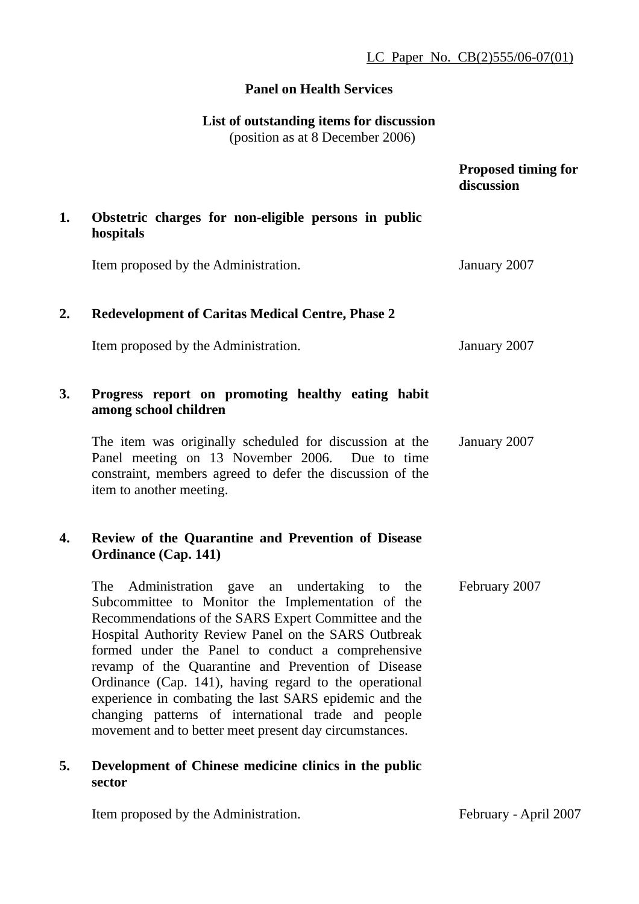LC Paper No. CB(2)555/06-07(01)

# **Panel on Health Services**

# **List of outstanding items for discussion**

(position as at 8 December 2006)

|    |                                                                                                                                                                                                                                                                                                                                                                                                                                                                                                                                                                             | <b>Proposed timing for</b><br>discussion |
|----|-----------------------------------------------------------------------------------------------------------------------------------------------------------------------------------------------------------------------------------------------------------------------------------------------------------------------------------------------------------------------------------------------------------------------------------------------------------------------------------------------------------------------------------------------------------------------------|------------------------------------------|
| 1. | Obstetric charges for non-eligible persons in public<br>hospitals                                                                                                                                                                                                                                                                                                                                                                                                                                                                                                           |                                          |
|    | Item proposed by the Administration.                                                                                                                                                                                                                                                                                                                                                                                                                                                                                                                                        | January 2007                             |
| 2. | <b>Redevelopment of Caritas Medical Centre, Phase 2</b>                                                                                                                                                                                                                                                                                                                                                                                                                                                                                                                     |                                          |
|    | Item proposed by the Administration.                                                                                                                                                                                                                                                                                                                                                                                                                                                                                                                                        | January 2007                             |
| 3. | Progress report on promoting healthy eating habit<br>among school children                                                                                                                                                                                                                                                                                                                                                                                                                                                                                                  |                                          |
|    | The item was originally scheduled for discussion at the<br>Panel meeting on 13 November 2006. Due to time<br>constraint, members agreed to defer the discussion of the<br>item to another meeting.                                                                                                                                                                                                                                                                                                                                                                          | January 2007                             |
| 4. | Review of the Quarantine and Prevention of Disease<br><b>Ordinance (Cap. 141)</b>                                                                                                                                                                                                                                                                                                                                                                                                                                                                                           |                                          |
|    | The<br>Administration gave<br>undertaking to the<br>an<br>Subcommittee to Monitor the Implementation of the<br>Recommendations of the SARS Expert Committee and the<br>Hospital Authority Review Panel on the SARS Outbreak<br>formed under the Panel to conduct a comprehensive<br>revamp of the Quarantine and Prevention of Disease<br>Ordinance (Cap. 141), having regard to the operational<br>experience in combating the last SARS epidemic and the<br>changing patterns of international trade and people<br>movement and to better meet present day circumstances. | February 2007                            |
| 5. | Development of Chinese medicine clinics in the public<br>sector                                                                                                                                                                                                                                                                                                                                                                                                                                                                                                             |                                          |

Item proposed by the Administration.

February - April 2007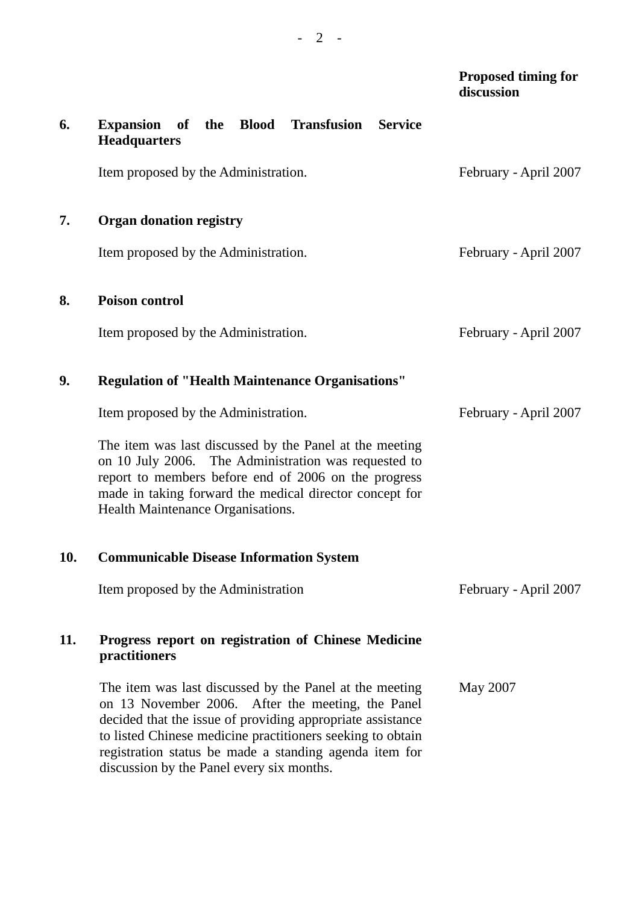|     |                                                                                                                                                                                                                                                                                                                                                 | <b>Proposed timing for</b><br>discussion |
|-----|-------------------------------------------------------------------------------------------------------------------------------------------------------------------------------------------------------------------------------------------------------------------------------------------------------------------------------------------------|------------------------------------------|
| 6.  | Expansion of the Blood Transfusion Service<br><b>Headquarters</b>                                                                                                                                                                                                                                                                               |                                          |
|     | Item proposed by the Administration.                                                                                                                                                                                                                                                                                                            | February - April 2007                    |
| 7.  | <b>Organ donation registry</b>                                                                                                                                                                                                                                                                                                                  |                                          |
|     | Item proposed by the Administration.                                                                                                                                                                                                                                                                                                            | February - April 2007                    |
| 8.  | <b>Poison control</b>                                                                                                                                                                                                                                                                                                                           |                                          |
|     | Item proposed by the Administration.                                                                                                                                                                                                                                                                                                            | February - April 2007                    |
| 9.  | <b>Regulation of "Health Maintenance Organisations"</b>                                                                                                                                                                                                                                                                                         |                                          |
|     | Item proposed by the Administration.                                                                                                                                                                                                                                                                                                            | February - April 2007                    |
|     | The item was last discussed by the Panel at the meeting<br>on 10 July 2006. The Administration was requested to<br>report to members before end of 2006 on the progress<br>made in taking forward the medical director concept for<br>Health Maintenance Organisations.                                                                         |                                          |
| 10. | <b>Communicable Disease Information System</b>                                                                                                                                                                                                                                                                                                  |                                          |
|     | Item proposed by the Administration                                                                                                                                                                                                                                                                                                             | February - April 2007                    |
| 11. | Progress report on registration of Chinese Medicine<br>practitioners                                                                                                                                                                                                                                                                            |                                          |
|     | The item was last discussed by the Panel at the meeting<br>on 13 November 2006. After the meeting, the Panel<br>decided that the issue of providing appropriate assistance<br>to listed Chinese medicine practitioners seeking to obtain<br>registration status be made a standing agenda item for<br>discussion by the Panel every six months. | May 2007                                 |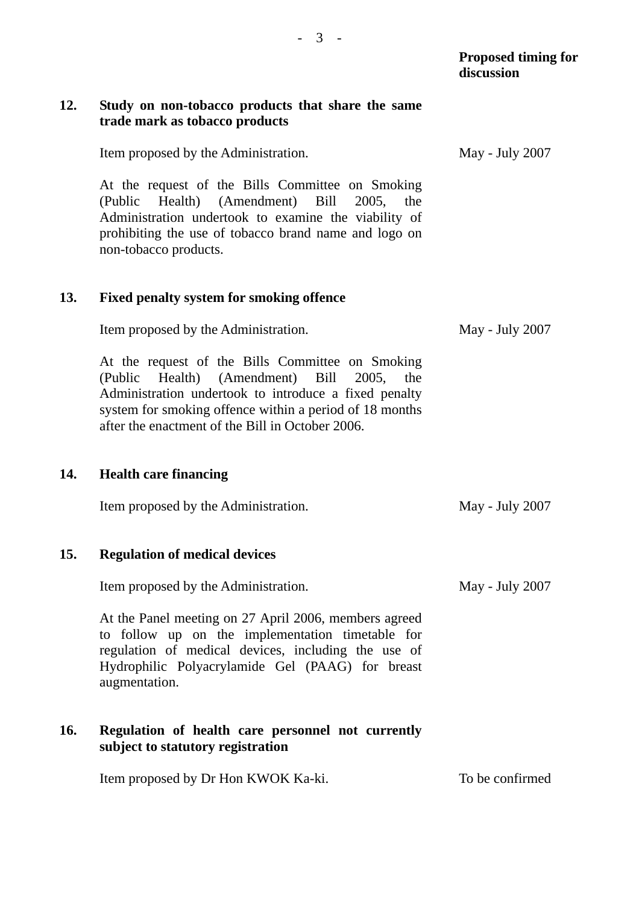May - July 2007

#### **12. Study on non-tobacco products that share the same trade mark as tobacco products**

Item proposed by the Administration.

At the request of the Bills Committee on Smoking (Public Health) (Amendment) Bill 2005, the Administration undertook to examine the viability of prohibiting the use of tobacco brand name and logo on non-tobacco products.

#### **13. Fixed penalty system for smoking offence**

Item proposed by the Administration.

At the request of the Bills Committee on Smoking (Public Health) (Amendment) Bill 2005, the Administration undertook to introduce a fixed penalty system for smoking offence within a period of 18 months after the enactment of the Bill in October 2006.

#### **14. Health care financing**

Item proposed by the Administration.

#### **15. Regulation of medical devices**

Item proposed by the Administration.

At the Panel meeting on 27 April 2006, members agreed to follow up on the implementation timetable for regulation of medical devices, including the use of Hydrophilic Polyacrylamide Gel (PAAG) for breast augmentation.

# **16. Regulation of health care personnel not currently subject to statutory registration**

Item proposed by Dr Hon KWOK Ka-ki. To be confirmed

May - July 2007

May - July 2007

May - July 2007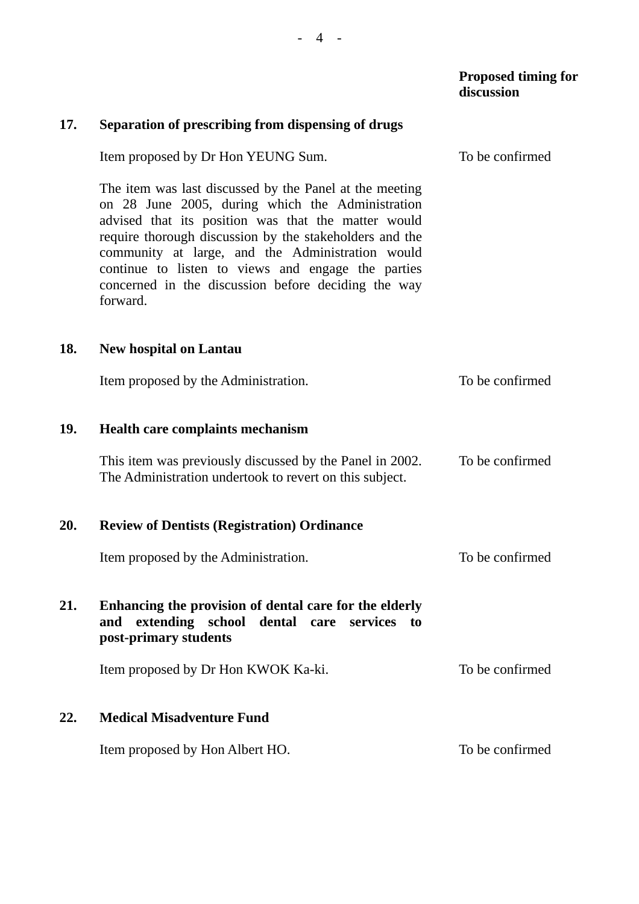|     |                                                                                                                                                                                                                                                                                                                                                                                                            | <b>Proposed timing for</b><br>discussion |
|-----|------------------------------------------------------------------------------------------------------------------------------------------------------------------------------------------------------------------------------------------------------------------------------------------------------------------------------------------------------------------------------------------------------------|------------------------------------------|
| 17. | Separation of prescribing from dispensing of drugs                                                                                                                                                                                                                                                                                                                                                         |                                          |
|     | Item proposed by Dr Hon YEUNG Sum.                                                                                                                                                                                                                                                                                                                                                                         | To be confirmed                          |
|     | The item was last discussed by the Panel at the meeting<br>on 28 June 2005, during which the Administration<br>advised that its position was that the matter would<br>require thorough discussion by the stakeholders and the<br>community at large, and the Administration would<br>continue to listen to views and engage the parties<br>concerned in the discussion before deciding the way<br>forward. |                                          |
| 18. | <b>New hospital on Lantau</b>                                                                                                                                                                                                                                                                                                                                                                              |                                          |
|     | Item proposed by the Administration.                                                                                                                                                                                                                                                                                                                                                                       | To be confirmed                          |
| 19. | <b>Health care complaints mechanism</b>                                                                                                                                                                                                                                                                                                                                                                    |                                          |
|     | This item was previously discussed by the Panel in 2002.<br>The Administration undertook to revert on this subject.                                                                                                                                                                                                                                                                                        | To be confirmed                          |
| 20. | <b>Review of Dentists (Registration) Ordinance</b>                                                                                                                                                                                                                                                                                                                                                         |                                          |
|     | Item proposed by the Administration.                                                                                                                                                                                                                                                                                                                                                                       | To be confirmed                          |
| 21. | Enhancing the provision of dental care for the elderly<br>and extending school dental care services<br>$\mathbf{to}$<br>post-primary students                                                                                                                                                                                                                                                              |                                          |
|     | Item proposed by Dr Hon KWOK Ka-ki.                                                                                                                                                                                                                                                                                                                                                                        | To be confirmed                          |
| 22. | <b>Medical Misadventure Fund</b>                                                                                                                                                                                                                                                                                                                                                                           |                                          |
|     | Item proposed by Hon Albert HO.                                                                                                                                                                                                                                                                                                                                                                            | To be confirmed                          |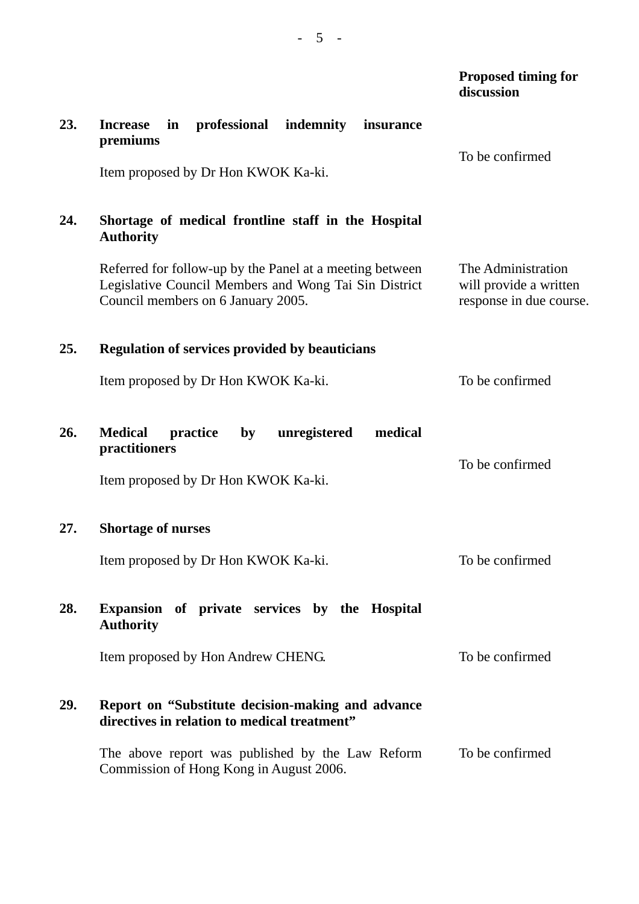|     |                                                                                                                                                         | <b>Proposed timing for</b><br>discussion                                |
|-----|---------------------------------------------------------------------------------------------------------------------------------------------------------|-------------------------------------------------------------------------|
| 23. | professional<br>indemnity<br><b>Increase</b><br>in<br>insurance<br>premiums                                                                             | To be confirmed                                                         |
|     | Item proposed by Dr Hon KWOK Ka-ki.                                                                                                                     |                                                                         |
| 24. | Shortage of medical frontline staff in the Hospital<br><b>Authority</b>                                                                                 |                                                                         |
|     | Referred for follow-up by the Panel at a meeting between<br>Legislative Council Members and Wong Tai Sin District<br>Council members on 6 January 2005. | The Administration<br>will provide a written<br>response in due course. |
| 25. | <b>Regulation of services provided by beauticians</b>                                                                                                   |                                                                         |
|     | Item proposed by Dr Hon KWOK Ka-ki.                                                                                                                     | To be confirmed                                                         |
| 26. | <b>Medical</b><br>unregistered<br>medical<br>practice<br>by<br>practitioners                                                                            | To be confirmed                                                         |
|     | Item proposed by Dr Hon KWOK Ka-ki.                                                                                                                     |                                                                         |
| 27. | <b>Shortage of nurses</b>                                                                                                                               |                                                                         |
|     | Item proposed by Dr Hon KWOK Ka-ki.                                                                                                                     | To be confirmed                                                         |
| 28. | Expansion of private services by the Hospital<br><b>Authority</b>                                                                                       |                                                                         |
|     | Item proposed by Hon Andrew CHENG.                                                                                                                      | To be confirmed                                                         |
| 29. | Report on "Substitute decision-making and advance<br>directives in relation to medical treatment"                                                       |                                                                         |
|     | The above report was published by the Law Reform<br>Commission of Hong Kong in August 2006.                                                             | To be confirmed                                                         |